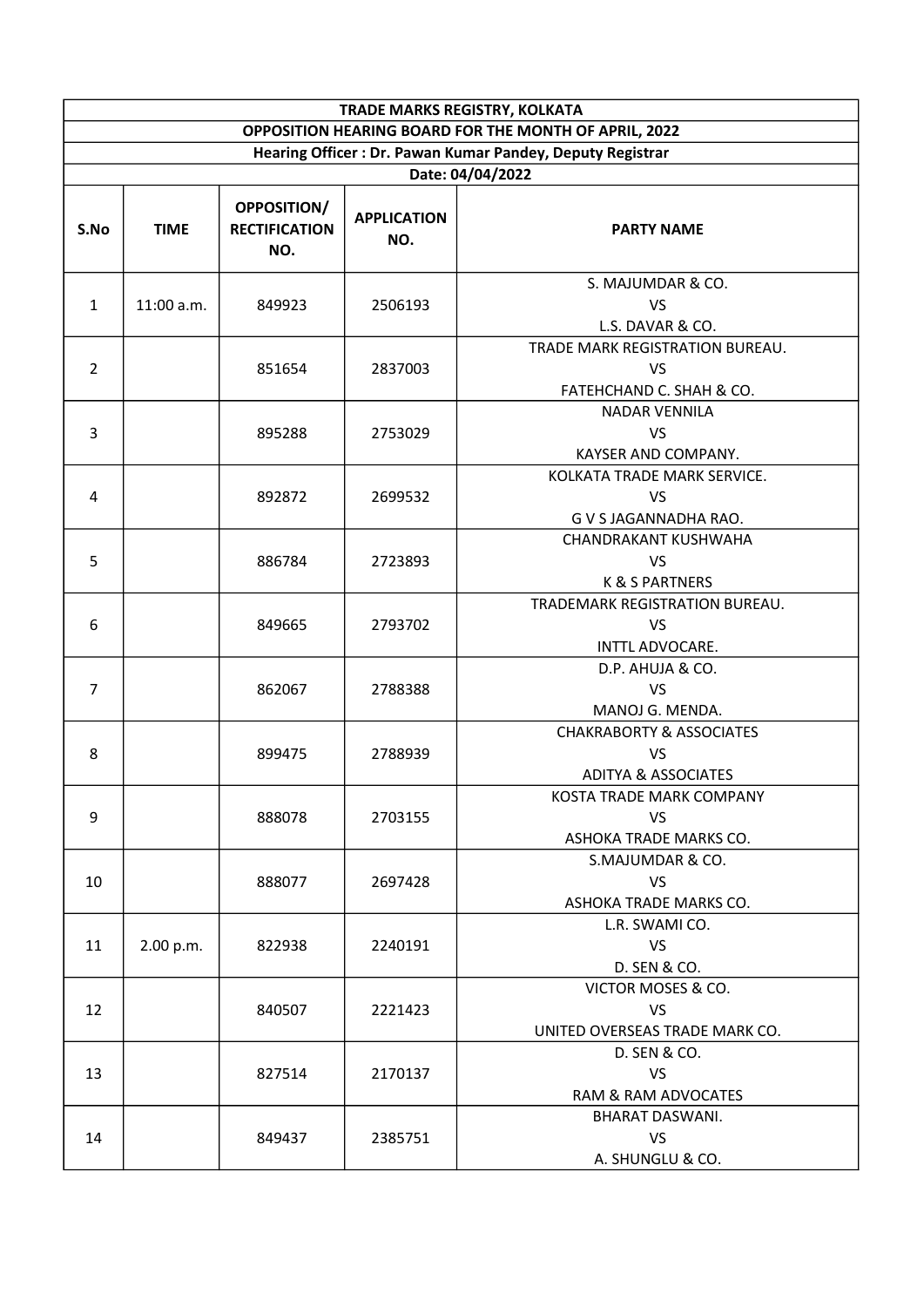| TRADE MARKS REGISTRY, KOLKATA                         |                                                                               |                                            |                           |                                                                                    |  |  |
|-------------------------------------------------------|-------------------------------------------------------------------------------|--------------------------------------------|---------------------------|------------------------------------------------------------------------------------|--|--|
| OPPOSITION HEARING BOARD FOR THE MONTH OF APRIL, 2022 |                                                                               |                                            |                           |                                                                                    |  |  |
|                                                       | Hearing Officer: Dr. Pawan Kumar Pandey, Deputy Registrar<br>Date: 04/04/2022 |                                            |                           |                                                                                    |  |  |
| S.No                                                  | <b>TIME</b>                                                                   | OPPOSITION/<br><b>RECTIFICATION</b><br>NO. | <b>APPLICATION</b><br>NO. | <b>PARTY NAME</b>                                                                  |  |  |
| $\mathbf{1}$                                          | 11:00 a.m.                                                                    | 849923                                     | 2506193                   | S. MAJUMDAR & CO.<br><b>VS</b><br>L.S. DAVAR & CO.                                 |  |  |
| $\overline{2}$                                        |                                                                               | 851654                                     | 2837003                   | TRADE MARK REGISTRATION BUREAU.<br><b>VS</b><br>FATEHCHAND C. SHAH & CO.           |  |  |
| 3                                                     |                                                                               | 895288                                     | 2753029                   | <b>NADAR VENNILA</b><br><b>VS</b><br>KAYSER AND COMPANY.                           |  |  |
| $\overline{4}$                                        |                                                                               | 892872                                     | 2699532                   | KOLKATA TRADE MARK SERVICE.<br><b>VS</b><br>G V S JAGANNADHA RAO.                  |  |  |
| 5                                                     |                                                                               | 886784                                     | 2723893                   | CHANDRAKANT KUSHWAHA<br>VS<br><b>K &amp; S PARTNERS</b>                            |  |  |
| 6                                                     |                                                                               | 849665                                     | 2793702                   | TRADEMARK REGISTRATION BUREAU.<br><b>VS</b><br>INTTL ADVOCARE.                     |  |  |
| $\overline{7}$                                        |                                                                               | 862067                                     | 2788388                   | D.P. AHUJA & CO.<br><b>VS</b><br>MANOJ G. MENDA.                                   |  |  |
| 8                                                     |                                                                               | 899475                                     | 2788939                   | <b>CHAKRABORTY &amp; ASSOCIATES</b><br><b>VS</b><br><b>ADITYA &amp; ASSOCIATES</b> |  |  |
| 9                                                     |                                                                               | 888078                                     | 2703155                   | KOSTA TRADE MARK COMPANY<br><b>VS</b><br>ASHOKA TRADE MARKS CO.                    |  |  |
| 10                                                    |                                                                               | 888077                                     | 2697428                   | S.MAJUMDAR & CO.<br><b>VS</b><br>ASHOKA TRADE MARKS CO.                            |  |  |
| 11                                                    | 2.00 p.m.                                                                     | 822938                                     | 2240191                   | L.R. SWAMI CO.<br><b>VS</b><br>D. SEN & CO.                                        |  |  |
| 12                                                    |                                                                               | 840507                                     | 2221423                   | VICTOR MOSES & CO.<br><b>VS</b><br>UNITED OVERSEAS TRADE MARK CO.                  |  |  |
| 13                                                    |                                                                               | 827514                                     | 2170137                   | D. SEN & CO.<br>VS<br>RAM & RAM ADVOCATES                                          |  |  |
| 14                                                    |                                                                               | 849437                                     | 2385751                   | <b>BHARAT DASWANI.</b><br><b>VS</b><br>A. SHUNGLU & CO.                            |  |  |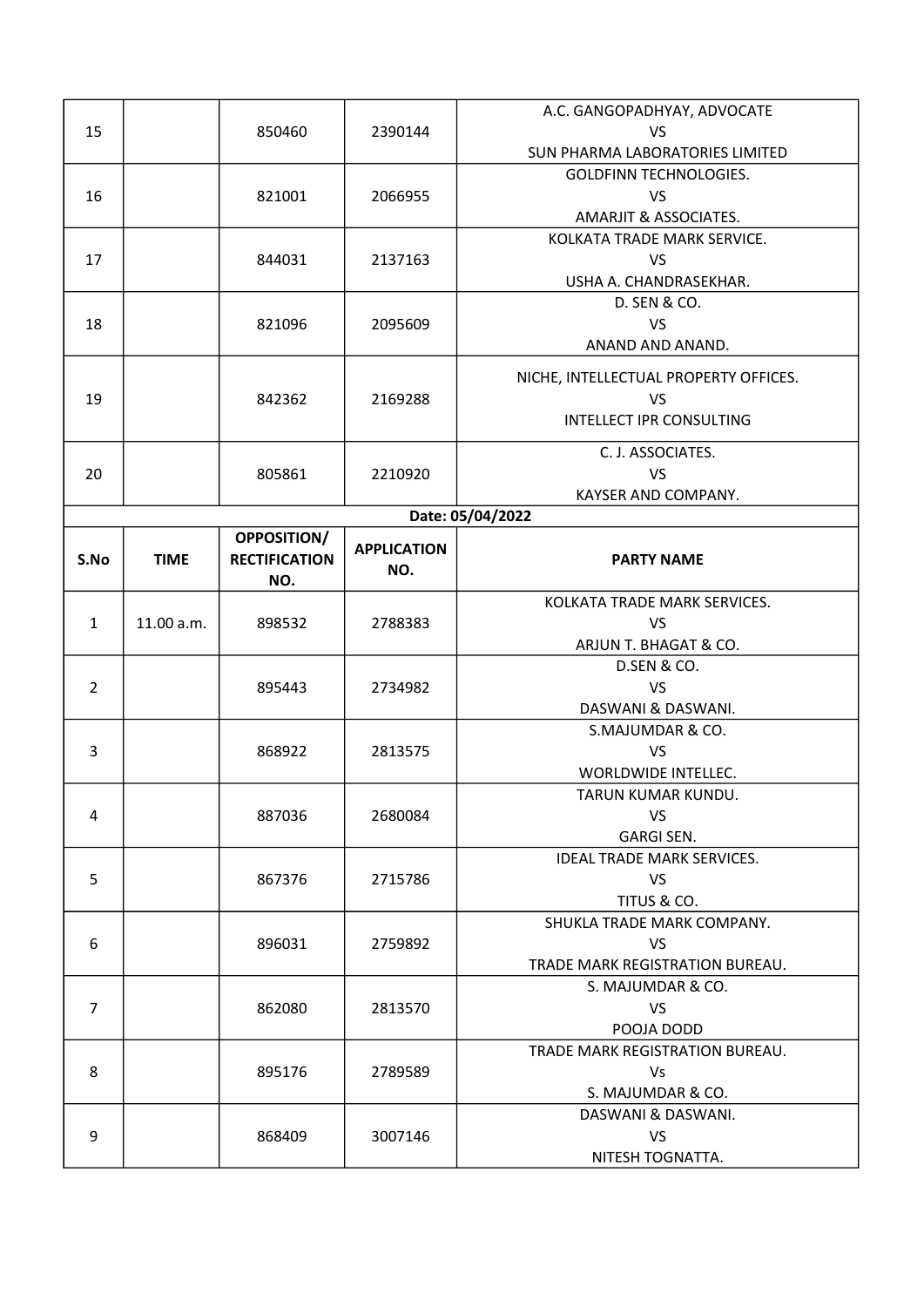|                |             |                      |                    | A.C. GANGOPADHYAY, ADVOCATE           |
|----------------|-------------|----------------------|--------------------|---------------------------------------|
| 15             |             | 850460               | 2390144            | <b>VS</b>                             |
|                |             |                      |                    | SUN PHARMA LABORATORIES LIMITED       |
|                |             |                      |                    | <b>GOLDFINN TECHNOLOGIES.</b>         |
| 16             |             | 821001               | 2066955            | <b>VS</b>                             |
|                |             |                      |                    | AMARJIT & ASSOCIATES.                 |
|                |             |                      |                    | KOLKATA TRADE MARK SERVICE.           |
| 17             |             | 844031               | 2137163            | <b>VS</b>                             |
|                |             |                      |                    | USHA A. CHANDRASEKHAR.                |
|                |             |                      |                    | D. SEN & CO.                          |
| 18             |             | 821096               | 2095609            | <b>VS</b>                             |
|                |             |                      |                    | ANAND AND ANAND.                      |
|                |             |                      |                    | NICHE, INTELLECTUAL PROPERTY OFFICES. |
| 19             |             | 842362               | 2169288            | <b>VS</b>                             |
|                |             |                      |                    | <b>INTELLECT IPR CONSULTING</b>       |
|                |             |                      |                    |                                       |
|                |             |                      |                    | C. J. ASSOCIATES.                     |
| 20             |             | 805861               | 2210920            | <b>VS</b>                             |
|                |             |                      |                    | KAYSER AND COMPANY.                   |
|                |             |                      |                    | Date: 05/04/2022                      |
|                |             | <b>OPPOSITION/</b>   | <b>APPLICATION</b> |                                       |
| S.No           | <b>TIME</b> | <b>RECTIFICATION</b> | NO.                | <b>PARTY NAME</b>                     |
|                |             | NO.                  |                    |                                       |
|                |             |                      |                    | KOLKATA TRADE MARK SERVICES.          |
| $\mathbf{1}$   | 11.00 a.m.  | 898532               | 2788383            | <b>VS</b>                             |
|                |             |                      |                    | ARJUN T. BHAGAT & CO.                 |
|                |             |                      |                    | D.SEN & CO.                           |
| $\overline{2}$ |             | 895443               | 2734982            | <b>VS</b>                             |
|                |             |                      |                    | DASWANI & DASWANI.                    |
|                |             |                      |                    | S.MAJUMDAR & CO.                      |
| 3              |             | 868922               | 2813575            | <b>VS</b>                             |
|                |             |                      |                    | WORLDWIDE INTELLEC.                   |
|                |             |                      |                    | TARUN KUMAR KUNDU.                    |
| 4              |             | 887036               | 2680084            | VS                                    |
|                |             |                      |                    | <b>GARGI SEN.</b>                     |
|                |             |                      |                    | <b>IDEAL TRADE MARK SERVICES.</b>     |
| 5              |             | 867376               | 2715786            | <b>VS</b>                             |
|                |             |                      |                    | TITUS & CO.                           |
|                |             |                      |                    | SHUKLA TRADE MARK COMPANY.            |
| 6              |             | 896031               | 2759892            | <b>VS</b>                             |
|                |             |                      |                    | TRADE MARK REGISTRATION BUREAU.       |
|                |             |                      |                    | S. MAJUMDAR & CO.                     |
| $\overline{7}$ |             | 862080               | 2813570            | VS                                    |
|                |             |                      |                    | POOJA DODD                            |
|                |             |                      |                    | TRADE MARK REGISTRATION BUREAU.       |
| 8              |             | 895176               | 2789589            | <b>Vs</b>                             |
|                |             |                      |                    | S. MAJUMDAR & CO.                     |
|                |             |                      |                    | DASWANI & DASWANI.                    |
| 9              |             | 868409               | 3007146            | <b>VS</b>                             |
|                |             |                      |                    | NITESH TOGNATTA.                      |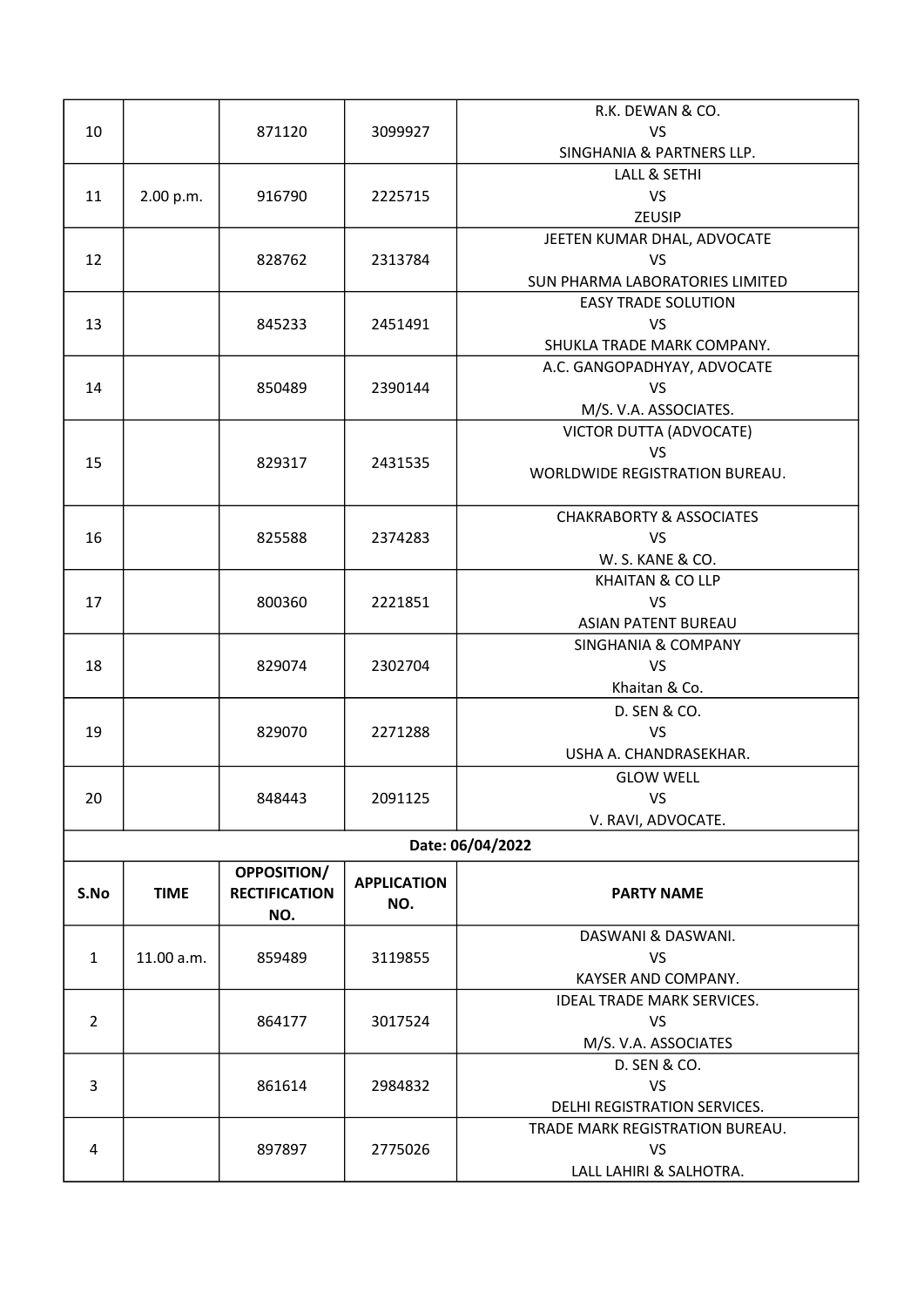|                |             |                      |                    | R.K. DEWAN & CO.                    |
|----------------|-------------|----------------------|--------------------|-------------------------------------|
| 10             |             | 871120               | 3099927            | <b>VS</b>                           |
|                |             |                      |                    | SINGHANIA & PARTNERS LLP.           |
|                |             |                      |                    | LALL & SETHI                        |
| 11             | 2.00 p.m.   | 916790               | 2225715            | VS                                  |
|                |             |                      |                    | ZEUSIP                              |
|                |             |                      |                    | JEETEN KUMAR DHAL, ADVOCATE         |
| 12             |             | 828762               | 2313784            | <b>VS</b>                           |
|                |             |                      |                    | SUN PHARMA LABORATORIES LIMITED     |
|                |             |                      |                    | <b>EASY TRADE SOLUTION</b>          |
| 13             |             | 845233               | 2451491            | <b>VS</b>                           |
|                |             |                      |                    | SHUKLA TRADE MARK COMPANY.          |
|                |             |                      |                    | A.C. GANGOPADHYAY, ADVOCATE         |
| 14             |             | 850489               | 2390144            | <b>VS</b>                           |
|                |             |                      |                    | M/S. V.A. ASSOCIATES.               |
|                |             |                      |                    | VICTOR DUTTA (ADVOCATE)             |
| 15             |             | 829317               | 2431535            | <b>VS</b>                           |
|                |             |                      |                    | WORLDWIDE REGISTRATION BUREAU.      |
|                |             |                      |                    |                                     |
|                |             |                      |                    | <b>CHAKRABORTY &amp; ASSOCIATES</b> |
| 16             |             | 825588               | 2374283            | <b>VS</b>                           |
|                |             |                      |                    | W. S. KANE & CO.                    |
|                |             |                      |                    | <b>KHAITAN &amp; CO LLP</b>         |
| 17             |             | 800360               | 2221851            | <b>VS</b>                           |
|                |             |                      |                    | <b>ASIAN PATENT BUREAU</b>          |
|                |             |                      |                    | <b>SINGHANIA &amp; COMPANY</b>      |
| 18             |             | 829074               | 2302704            | <b>VS</b>                           |
|                |             |                      |                    | Khaitan & Co.                       |
|                |             |                      |                    | D. SEN & CO.                        |
| 19             |             | 829070               | 2271288            | <b>VS</b>                           |
|                |             |                      |                    | USHA A. CHANDRASEKHAR.              |
|                |             |                      |                    | <b>GLOW WELL</b>                    |
| 20             |             | 848443               | 2091125            | VS                                  |
|                |             |                      |                    | V. RAVI, ADVOCATE.                  |
|                |             |                      |                    | Date: 06/04/2022                    |
|                |             | <b>OPPOSITION/</b>   | <b>APPLICATION</b> |                                     |
| S.No           | <b>TIME</b> | <b>RECTIFICATION</b> | NO.                | <b>PARTY NAME</b>                   |
|                |             | NO.                  |                    |                                     |
|                |             |                      |                    | DASWANI & DASWANI.                  |
| $\mathbf{1}$   | 11.00 a.m.  | 859489               | 3119855            | VS                                  |
|                |             |                      |                    | KAYSER AND COMPANY.                 |
|                |             |                      |                    | <b>IDEAL TRADE MARK SERVICES.</b>   |
| $\overline{2}$ |             | 864177               | 3017524            | <b>VS</b>                           |
|                |             |                      |                    | M/S. V.A. ASSOCIATES                |
|                |             |                      |                    | D. SEN & CO.                        |
| 3              |             | 861614               | 2984832            | <b>VS</b>                           |
|                |             |                      |                    | DELHI REGISTRATION SERVICES.        |
|                |             |                      |                    | TRADE MARK REGISTRATION BUREAU.     |
| 4              |             | 897897               | 2775026            | VS                                  |
|                |             |                      |                    | LALL LAHIRI & SALHOTRA.             |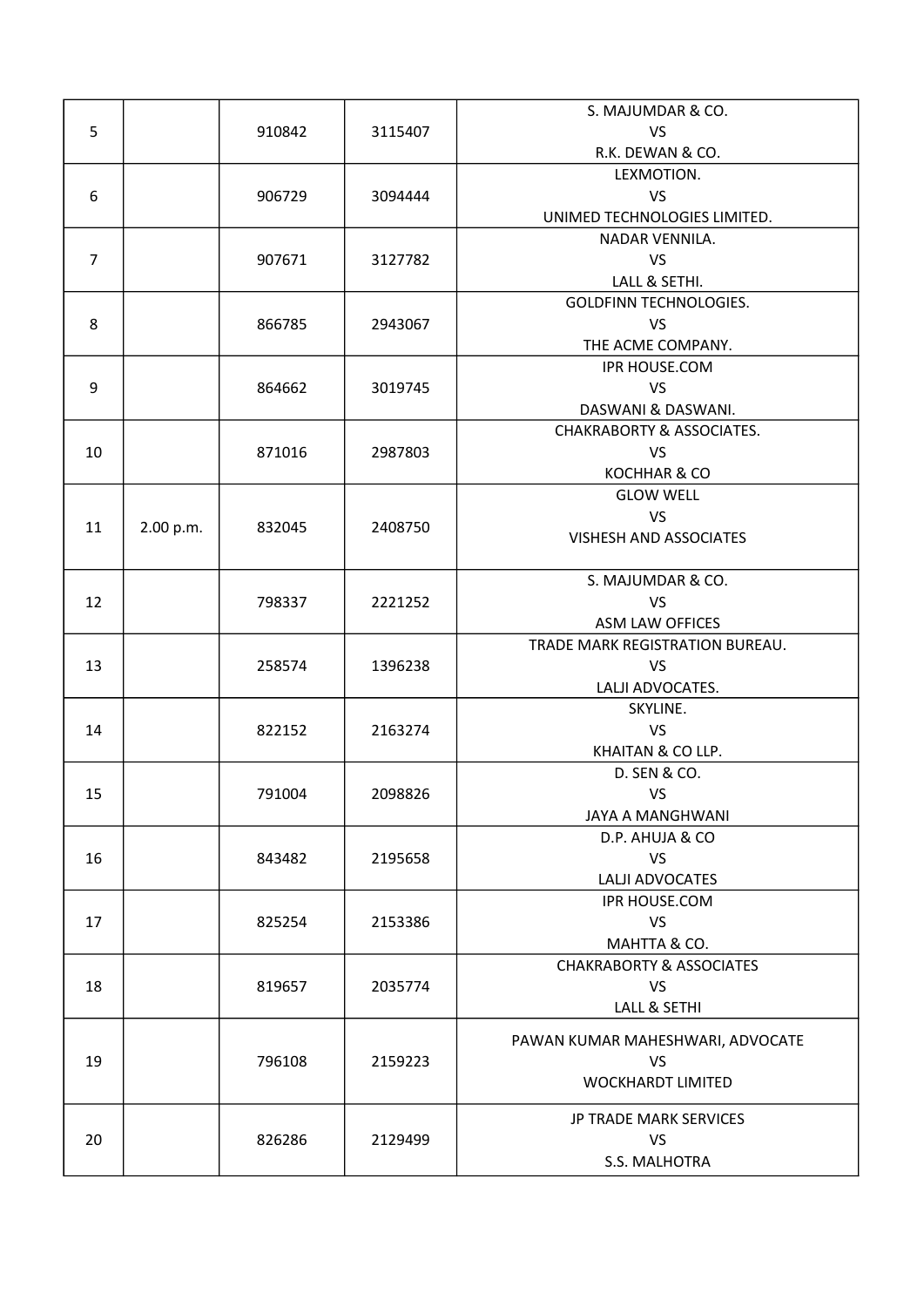|                |           |        |         | S. MAJUMDAR & CO.                    |
|----------------|-----------|--------|---------|--------------------------------------|
| 5              |           | 910842 | 3115407 | <b>VS</b>                            |
|                |           |        |         | R.K. DEWAN & CO.                     |
|                |           |        |         | LEXMOTION.                           |
| 6              |           | 906729 | 3094444 | <b>VS</b>                            |
|                |           |        |         | UNIMED TECHNOLOGIES LIMITED.         |
|                |           |        |         | NADAR VENNILA.                       |
| $\overline{7}$ |           | 907671 | 3127782 | <b>VS</b>                            |
|                |           |        |         | LALL & SETHI.                        |
|                |           |        |         | <b>GOLDFINN TECHNOLOGIES.</b>        |
| 8              |           | 866785 |         | <b>VS</b>                            |
|                |           |        | 2943067 |                                      |
|                |           |        |         | THE ACME COMPANY.                    |
|                |           |        |         | IPR HOUSE.COM                        |
| 9              |           | 864662 | 3019745 | <b>VS</b>                            |
|                |           |        |         | DASWANI & DASWANI.                   |
|                |           |        |         | <b>CHAKRABORTY &amp; ASSOCIATES.</b> |
| 10             |           | 871016 | 2987803 | <b>VS</b>                            |
|                |           |        |         | KOCHHAR & CO                         |
|                |           |        |         | <b>GLOW WELL</b>                     |
| 11             | 2.00 p.m. | 832045 | 2408750 | <b>VS</b>                            |
|                |           |        |         | <b>VISHESH AND ASSOCIATES</b>        |
|                |           |        |         |                                      |
|                |           |        |         | S. MAJUMDAR & CO.                    |
| 12             |           | 798337 | 2221252 | <b>VS</b>                            |
|                |           |        |         | ASM LAW OFFICES                      |
|                |           |        |         | TRADE MARK REGISTRATION BUREAU.      |
| 13             |           | 258574 | 1396238 | <b>VS</b>                            |
|                |           |        |         | LALJI ADVOCATES.                     |
|                |           |        |         | SKYLINE.                             |
| 14             |           | 822152 | 2163274 | <b>VS</b>                            |
|                |           |        |         | KHAITAN & CO LLP.                    |
|                |           |        |         | D. SEN & CO.                         |
| 15             |           | 791004 | 2098826 | <b>VS</b>                            |
|                |           |        |         | JAYA A MANGHWANI                     |
|                |           |        |         | D.P. AHUJA & CO                      |
| 16             |           | 843482 | 2195658 | <b>VS</b>                            |
|                |           |        |         | LALJI ADVOCATES                      |
|                |           |        |         | IPR HOUSE.COM                        |
| 17             |           | 825254 | 2153386 | <b>VS</b>                            |
|                |           |        |         | MAHTTA & CO.                         |
|                |           |        |         | <b>CHAKRABORTY &amp; ASSOCIATES</b>  |
| 18             |           | 819657 | 2035774 | <b>VS</b>                            |
|                |           |        |         | LALL & SETHI                         |
|                |           |        |         |                                      |
|                |           |        |         | PAWAN KUMAR MAHESHWARI, ADVOCATE     |
| 19             |           | 796108 | 2159223 | <b>VS</b>                            |
|                |           |        |         | <b>WOCKHARDT LIMITED</b>             |
|                |           |        |         | JP TRADE MARK SERVICES               |
| 20             |           | 826286 | 2129499 | <b>VS</b>                            |
|                |           |        |         | S.S. MALHOTRA                        |
|                |           |        |         |                                      |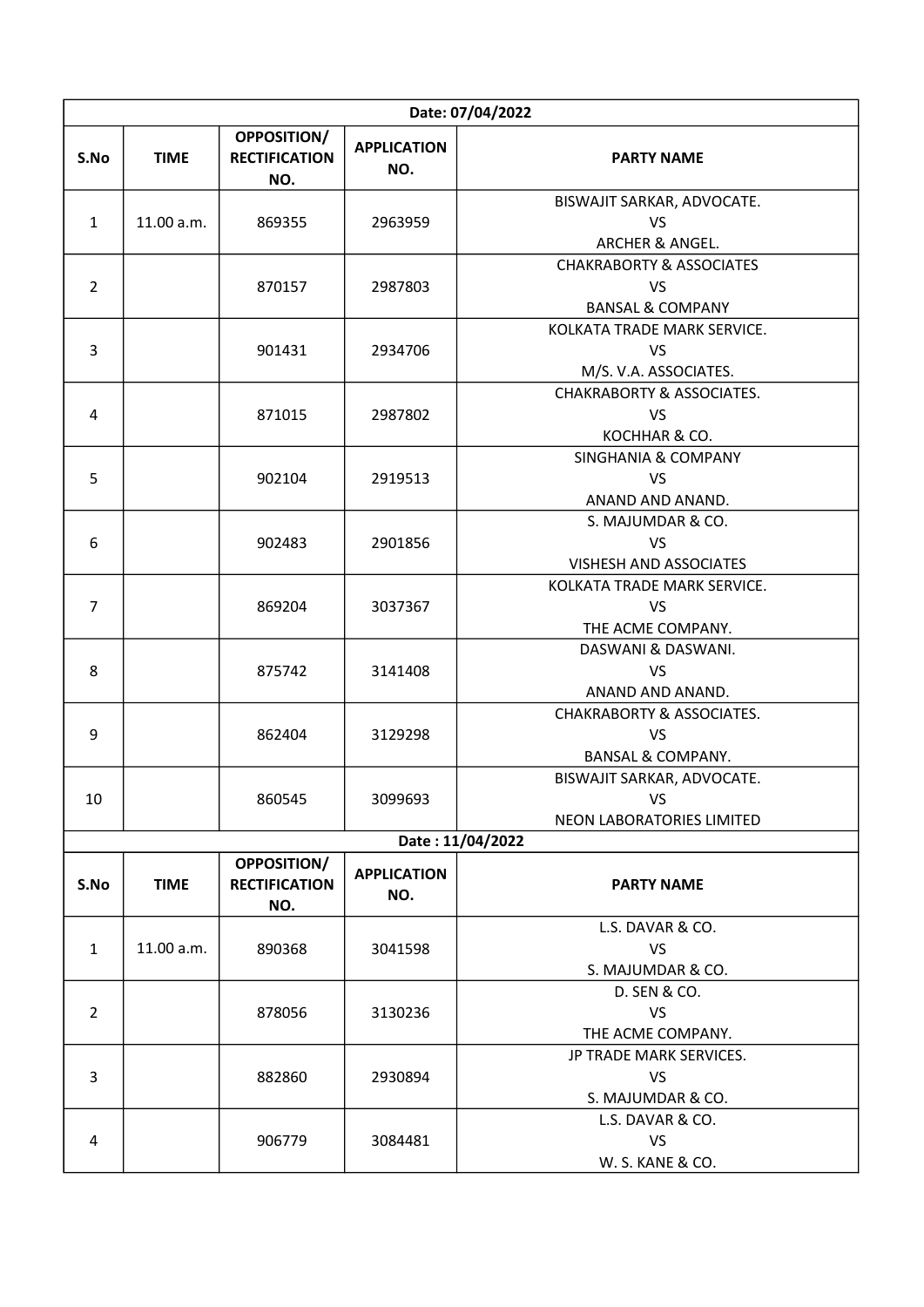|                | Date: 07/04/2022 |                                            |                           |                                                                                 |  |  |
|----------------|------------------|--------------------------------------------|---------------------------|---------------------------------------------------------------------------------|--|--|
| S.No           | <b>TIME</b>      | OPPOSITION/<br><b>RECTIFICATION</b><br>NO. | <b>APPLICATION</b><br>NO. | <b>PARTY NAME</b>                                                               |  |  |
| $\mathbf{1}$   | 11.00 a.m.       | 869355                                     | 2963959                   | BISWAJIT SARKAR, ADVOCATE.<br><b>VS</b><br>ARCHER & ANGEL.                      |  |  |
| $\overline{2}$ |                  | 870157                                     | 2987803                   | <b>CHAKRABORTY &amp; ASSOCIATES</b><br><b>VS</b><br><b>BANSAL &amp; COMPANY</b> |  |  |
| $\overline{3}$ |                  | 901431                                     | 2934706                   | KOLKATA TRADE MARK SERVICE.<br><b>VS</b><br>M/S. V.A. ASSOCIATES.               |  |  |
| 4              |                  | 871015                                     | 2987802                   | <b>CHAKRABORTY &amp; ASSOCIATES.</b><br><b>VS</b><br>KOCHHAR & CO.              |  |  |
| 5              |                  | 902104                                     | 2919513                   | <b>SINGHANIA &amp; COMPANY</b><br><b>VS</b><br>ANAND AND ANAND.                 |  |  |
| 6              |                  | 902483                                     | 2901856                   | S. MAJUMDAR & CO.<br>VS<br><b>VISHESH AND ASSOCIATES</b>                        |  |  |
| $\overline{7}$ |                  | 869204                                     | 3037367                   | KOLKATA TRADE MARK SERVICE.<br><b>VS</b><br>THE ACME COMPANY.                   |  |  |
| 8              |                  | 875742                                     | 3141408                   | DASWANI & DASWANI.<br><b>VS</b><br>ANAND AND ANAND.                             |  |  |
| 9              |                  | 862404                                     | 3129298                   | <b>CHAKRABORTY &amp; ASSOCIATES.</b><br>VS<br><b>BANSAL &amp; COMPANY.</b>      |  |  |
| 10             |                  | 860545                                     | 3099693                   | BISWAJIT SARKAR, ADVOCATE.<br>VS<br>NEON LABORATORIES LIMITED                   |  |  |
|                |                  |                                            |                           | Date: 11/04/2022                                                                |  |  |
| S.No           | <b>TIME</b>      | OPPOSITION/<br><b>RECTIFICATION</b><br>NO. | <b>APPLICATION</b><br>NO. | <b>PARTY NAME</b>                                                               |  |  |
| $\mathbf{1}$   | 11.00 a.m.       | 890368                                     | 3041598                   | L.S. DAVAR & CO.<br><b>VS</b><br>S. MAJUMDAR & CO.                              |  |  |
| $\overline{2}$ |                  | 878056                                     | 3130236                   | D. SEN & CO.<br><b>VS</b><br>THE ACME COMPANY.                                  |  |  |
| 3              |                  | 882860                                     | 2930894                   | JP TRADE MARK SERVICES.<br><b>VS</b><br>S. MAJUMDAR & CO.                       |  |  |
| 4              |                  | 906779                                     | 3084481                   | L.S. DAVAR & CO.<br><b>VS</b><br>W. S. KANE & CO.                               |  |  |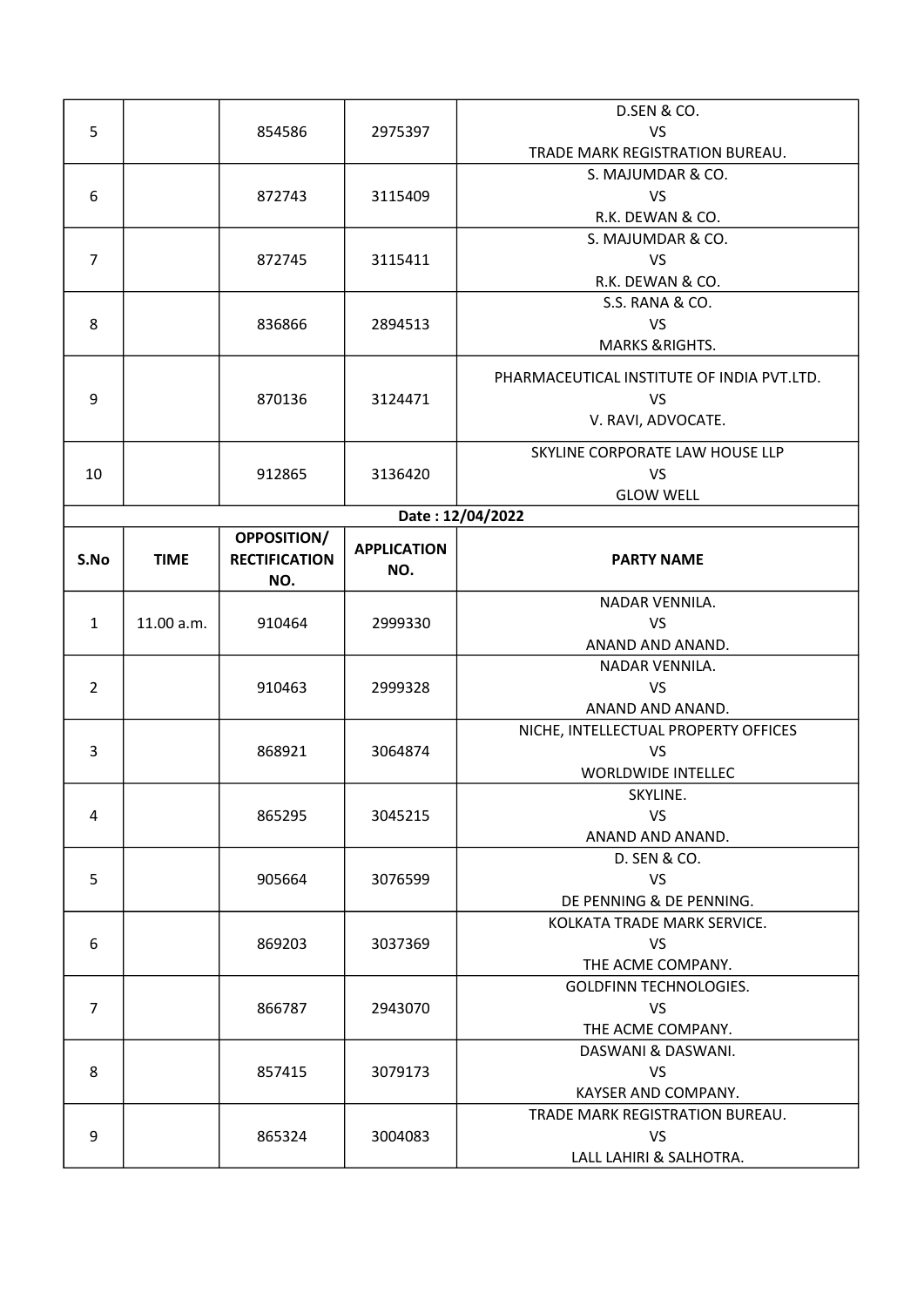|                |             |                      |                    | <b>D.SEN &amp; CO.</b>                     |
|----------------|-------------|----------------------|--------------------|--------------------------------------------|
| 5              |             | 854586               | 2975397            | <b>VS</b>                                  |
|                |             |                      |                    | TRADE MARK REGISTRATION BUREAU.            |
|                |             |                      |                    | S. MAJUMDAR & CO.                          |
| 6              |             | 872743               | 3115409            | <b>VS</b>                                  |
|                |             |                      |                    | R.K. DEWAN & CO.                           |
|                |             |                      |                    | S. MAJUMDAR & CO.                          |
| $\overline{7}$ |             | 872745               | 3115411            | <b>VS</b>                                  |
|                |             |                      |                    | R.K. DEWAN & CO.                           |
|                |             |                      |                    | S.S. RANA & CO.                            |
| 8              |             | 836866               | 2894513            | <b>VS</b>                                  |
|                |             |                      |                    | <b>MARKS &amp; RIGHTS.</b>                 |
|                |             |                      |                    |                                            |
|                |             |                      |                    | PHARMACEUTICAL INSTITUTE OF INDIA PVT.LTD. |
| 9              |             | 870136               | 3124471            | <b>VS</b>                                  |
|                |             |                      |                    | V. RAVI, ADVOCATE.                         |
|                |             |                      |                    | SKYLINE CORPORATE LAW HOUSE LLP            |
| 10             |             | 912865               | 3136420            | <b>VS</b>                                  |
|                |             |                      |                    | <b>GLOW WELL</b>                           |
|                |             |                      |                    | Date: 12/04/2022                           |
|                |             | <b>OPPOSITION/</b>   |                    |                                            |
| S.No           | <b>TIME</b> | <b>RECTIFICATION</b> | <b>APPLICATION</b> | <b>PARTY NAME</b>                          |
|                |             | NO.                  | NO.                |                                            |
|                |             |                      |                    | NADAR VENNILA.                             |
| $\mathbf{1}$   | 11.00 a.m.  | 910464               | 2999330            | <b>VS</b>                                  |
|                |             |                      |                    | ANAND AND ANAND.                           |
|                |             |                      |                    | NADAR VENNILA.                             |
| $\overline{2}$ |             | 910463               | 2999328            | <b>VS</b>                                  |
|                |             |                      |                    | ANAND AND ANAND.                           |
|                |             |                      |                    | NICHE, INTELLECTUAL PROPERTY OFFICES       |
| 3              |             | 868921               | 3064874            | <b>VS</b>                                  |
|                |             |                      |                    | <b>WORLDWIDE INTELLEC</b>                  |
|                |             |                      |                    | SKYLINE.                                   |
| 4              |             | 865295               | 3045215            | <b>VS</b>                                  |
|                |             |                      |                    | ANAND AND ANAND.                           |
|                |             |                      |                    | D. SEN & CO.                               |
| 5              |             | 905664               | 3076599            | <b>VS</b>                                  |
|                |             |                      |                    | DE PENNING & DE PENNING.                   |
|                |             |                      |                    | KOLKATA TRADE MARK SERVICE.                |
| 6              |             | 869203               | 3037369            | <b>VS</b>                                  |
|                |             |                      |                    | THE ACME COMPANY.                          |
|                |             |                      |                    | <b>GOLDFINN TECHNOLOGIES.</b>              |
| $\overline{7}$ |             | 866787               | 2943070            | VS                                         |
|                |             |                      |                    | THE ACME COMPANY.                          |
|                |             |                      |                    | DASWANI & DASWANI.                         |
| 8              |             | 857415               | 3079173            | <b>VS</b>                                  |
|                |             |                      |                    | KAYSER AND COMPANY.                        |
|                |             |                      |                    | TRADE MARK REGISTRATION BUREAU.            |
| 9              |             | 865324               | 3004083            | <b>VS</b>                                  |
|                |             |                      |                    | LALL LAHIRI & SALHOTRA.                    |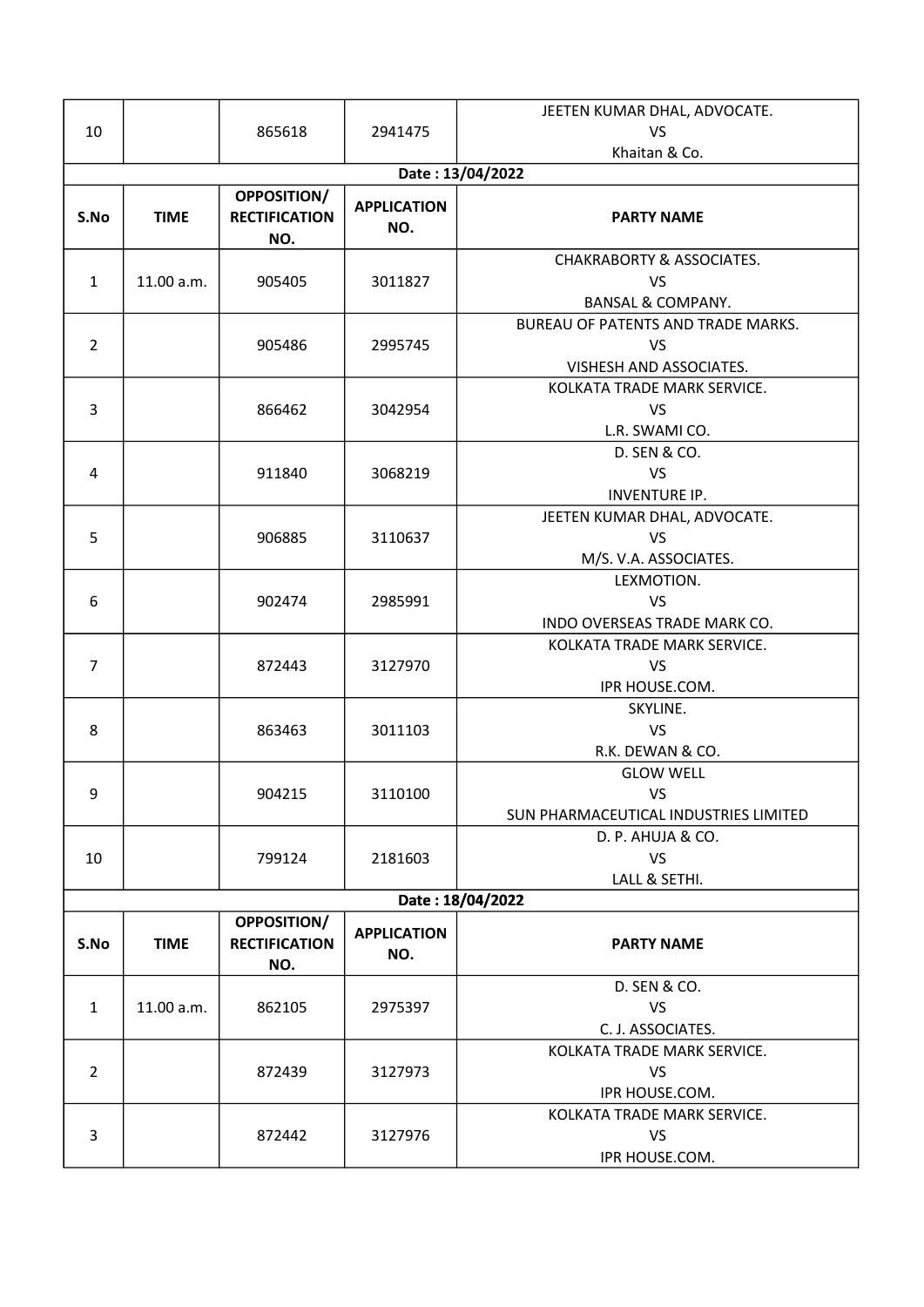|                |                  |                                            |                           | JEETEN KUMAR DHAL, ADVOCATE.                                                      |  |  |  |
|----------------|------------------|--------------------------------------------|---------------------------|-----------------------------------------------------------------------------------|--|--|--|
| 10             |                  | 865618                                     | 2941475                   | VS                                                                                |  |  |  |
|                |                  |                                            |                           | Khaitan & Co.                                                                     |  |  |  |
|                | Date: 13/04/2022 |                                            |                           |                                                                                   |  |  |  |
| S.No           | <b>TIME</b>      | OPPOSITION/<br><b>RECTIFICATION</b><br>NO. | <b>APPLICATION</b><br>NO. | <b>PARTY NAME</b>                                                                 |  |  |  |
| $\mathbf{1}$   | 11.00 a.m.       | 905405                                     | 3011827                   | <b>CHAKRABORTY &amp; ASSOCIATES.</b><br><b>VS</b><br><b>BANSAL &amp; COMPANY.</b> |  |  |  |
| $\overline{2}$ |                  | 905486                                     | 2995745                   | BUREAU OF PATENTS AND TRADE MARKS.<br><b>VS</b><br>VISHESH AND ASSOCIATES.        |  |  |  |
| 3              |                  | 866462                                     | 3042954                   | KOLKATA TRADE MARK SERVICE.<br><b>VS</b><br>L.R. SWAMI CO.                        |  |  |  |
| 4              |                  | 911840                                     | 3068219                   | D. SEN & CO.<br><b>VS</b><br><b>INVENTURE IP.</b>                                 |  |  |  |
| 5              |                  | 906885                                     | 3110637                   | JEETEN KUMAR DHAL, ADVOCATE.<br><b>VS</b><br>M/S. V.A. ASSOCIATES.                |  |  |  |
| 6              |                  | 902474                                     | 2985991                   | LEXMOTION.<br><b>VS</b><br>INDO OVERSEAS TRADE MARK CO.                           |  |  |  |
| $\overline{7}$ |                  | 872443                                     | 3127970                   | KOLKATA TRADE MARK SERVICE.<br>VS<br>IPR HOUSE.COM.                               |  |  |  |
| 8              |                  | 863463                                     | 3011103                   | SKYLINE.<br><b>VS</b><br>R.K. DEWAN & CO.                                         |  |  |  |
| 9              |                  | 904215                                     | 3110100                   | <b>GLOW WELL</b><br><b>VS</b><br>SUN PHARMACEUTICAL INDUSTRIES LIMITED            |  |  |  |
| 10             |                  | 799124                                     | 2181603                   | D. P. AHUJA & CO.<br><b>VS</b><br>LALL & SETHI.                                   |  |  |  |
|                |                  |                                            |                           | Date: 18/04/2022                                                                  |  |  |  |
| S.No           | <b>TIME</b>      | OPPOSITION/<br><b>RECTIFICATION</b><br>NO. | <b>APPLICATION</b><br>NO. | <b>PARTY NAME</b>                                                                 |  |  |  |
| $\mathbf{1}$   | 11.00 a.m.       | 862105                                     | 2975397                   | D. SEN & CO.<br><b>VS</b><br>C. J. ASSOCIATES.                                    |  |  |  |
| $\overline{2}$ |                  | 872439                                     | 3127973                   | KOLKATA TRADE MARK SERVICE.<br><b>VS</b><br>IPR HOUSE.COM.                        |  |  |  |
| 3              |                  | 872442                                     | 3127976                   | KOLKATA TRADE MARK SERVICE.<br><b>VS</b><br>IPR HOUSE.COM.                        |  |  |  |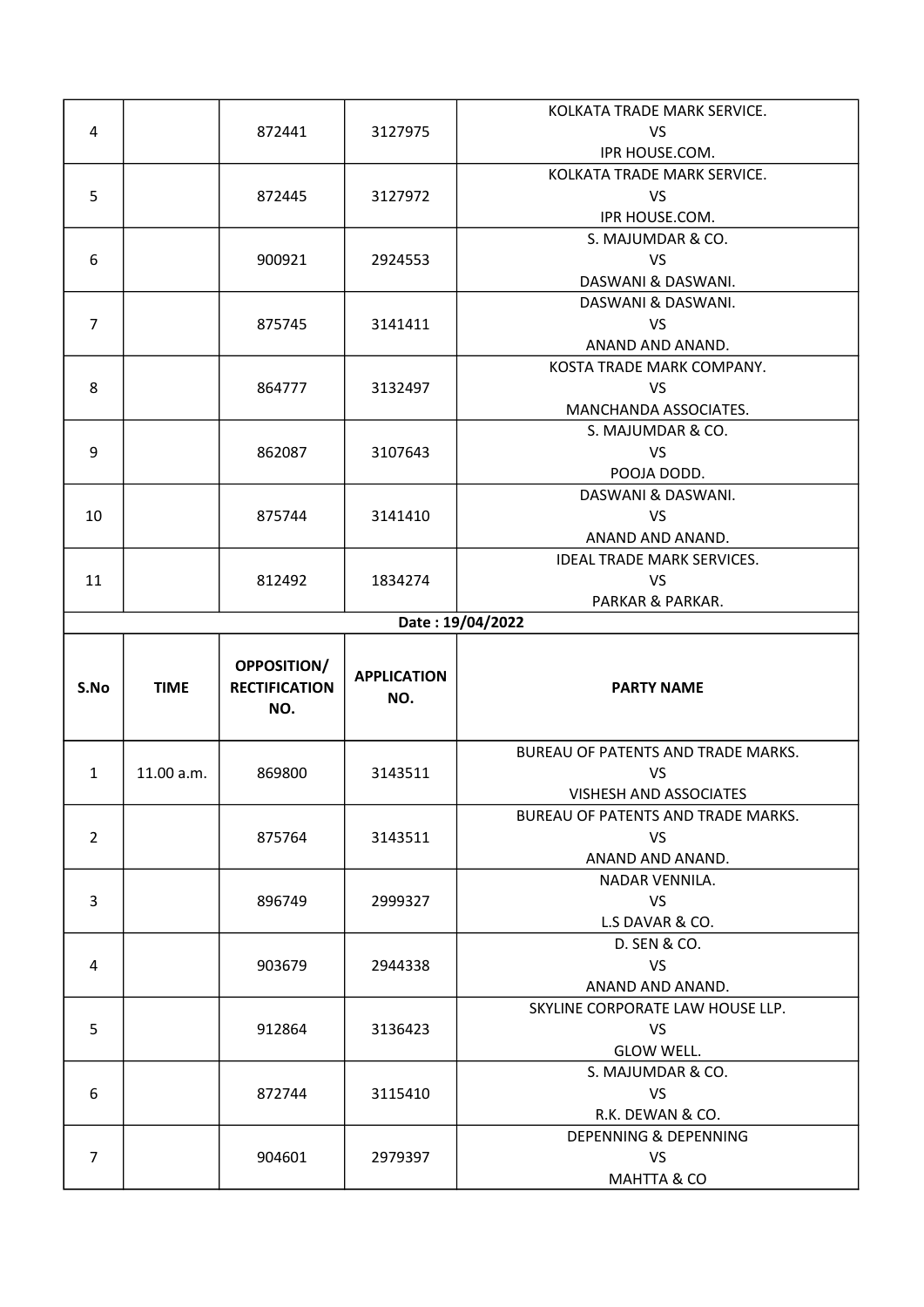|                |             |                                            |                           | KOLKATA TRADE MARK SERVICE.               |
|----------------|-------------|--------------------------------------------|---------------------------|-------------------------------------------|
| 4              |             | 872441                                     | 3127975                   | <b>VS</b>                                 |
|                |             |                                            |                           | IPR HOUSE.COM.                            |
|                |             |                                            |                           | KOLKATA TRADE MARK SERVICE.               |
| 5              |             | 872445                                     | 3127972                   | <b>VS</b>                                 |
|                |             |                                            |                           | IPR HOUSE.COM.                            |
|                |             |                                            |                           | S. MAJUMDAR & CO.                         |
| 6              |             | 900921                                     | 2924553                   | <b>VS</b>                                 |
|                |             |                                            |                           | DASWANI & DASWANI.                        |
|                |             |                                            |                           | DASWANI & DASWANI.                        |
| $\overline{7}$ |             | 875745                                     | 3141411                   | <b>VS</b>                                 |
|                |             |                                            |                           | ANAND AND ANAND.                          |
|                |             |                                            |                           | KOSTA TRADE MARK COMPANY.                 |
| 8              |             | 864777                                     | 3132497                   | <b>VS</b>                                 |
|                |             |                                            |                           | MANCHANDA ASSOCIATES.                     |
|                |             |                                            |                           | S. MAJUMDAR & CO.                         |
| 9              |             | 862087                                     |                           | <b>VS</b>                                 |
|                |             |                                            | 3107643                   |                                           |
|                |             |                                            |                           | POOJA DODD.                               |
|                |             |                                            |                           | DASWANI & DASWANI.                        |
| 10             |             | 875744                                     | 3141410                   | <b>VS</b>                                 |
|                |             |                                            |                           | ANAND AND ANAND.                          |
|                |             |                                            |                           | <b>IDEAL TRADE MARK SERVICES.</b>         |
| 11             |             | 812492                                     | 1834274                   | <b>VS</b>                                 |
|                |             |                                            |                           | PARKAR & PARKAR.                          |
|                |             |                                            |                           | Date: 19/04/2022                          |
|                |             |                                            |                           |                                           |
| S.No           | <b>TIME</b> | OPPOSITION/<br><b>RECTIFICATION</b><br>NO. | <b>APPLICATION</b><br>NO. | <b>PARTY NAME</b>                         |
|                |             |                                            |                           |                                           |
|                |             |                                            |                           | <b>BUREAU OF PATENTS AND TRADE MARKS.</b> |
| $\mathbf{1}$   | 11.00 a.m.  | 869800                                     | 3143511                   | <b>VS</b>                                 |
|                |             |                                            |                           | <b>VISHESH AND ASSOCIATES</b>             |
|                |             |                                            |                           | <b>BUREAU OF PATENTS AND TRADE MARKS.</b> |
| $\overline{2}$ |             | 875764                                     | 3143511                   | <b>VS</b>                                 |
|                |             |                                            |                           | ANAND AND ANAND.                          |
|                |             |                                            |                           | NADAR VENNILA.                            |
| $\overline{3}$ |             | 896749                                     | 2999327                   | VS                                        |
|                |             |                                            |                           | L.S DAVAR & CO.                           |
|                |             |                                            |                           | D. SEN & CO.                              |
| 4              |             | 903679                                     | 2944338                   | <b>VS</b>                                 |
|                |             |                                            |                           | ANAND AND ANAND.                          |
|                |             |                                            |                           | SKYLINE CORPORATE LAW HOUSE LLP.          |
| 5              |             | 912864                                     | 3136423                   | VS                                        |
|                |             |                                            |                           | GLOW WELL.                                |
|                |             |                                            |                           | S. MAJUMDAR & CO.                         |
| 6              |             | 872744                                     | 3115410                   | <b>VS</b>                                 |
|                |             |                                            |                           | R.K. DEWAN & CO.                          |
|                |             |                                            |                           | DEPENNING & DEPENNING                     |
| $\overline{7}$ |             | 904601                                     | 2979397                   | <b>VS</b><br>MAHTTA & CO                  |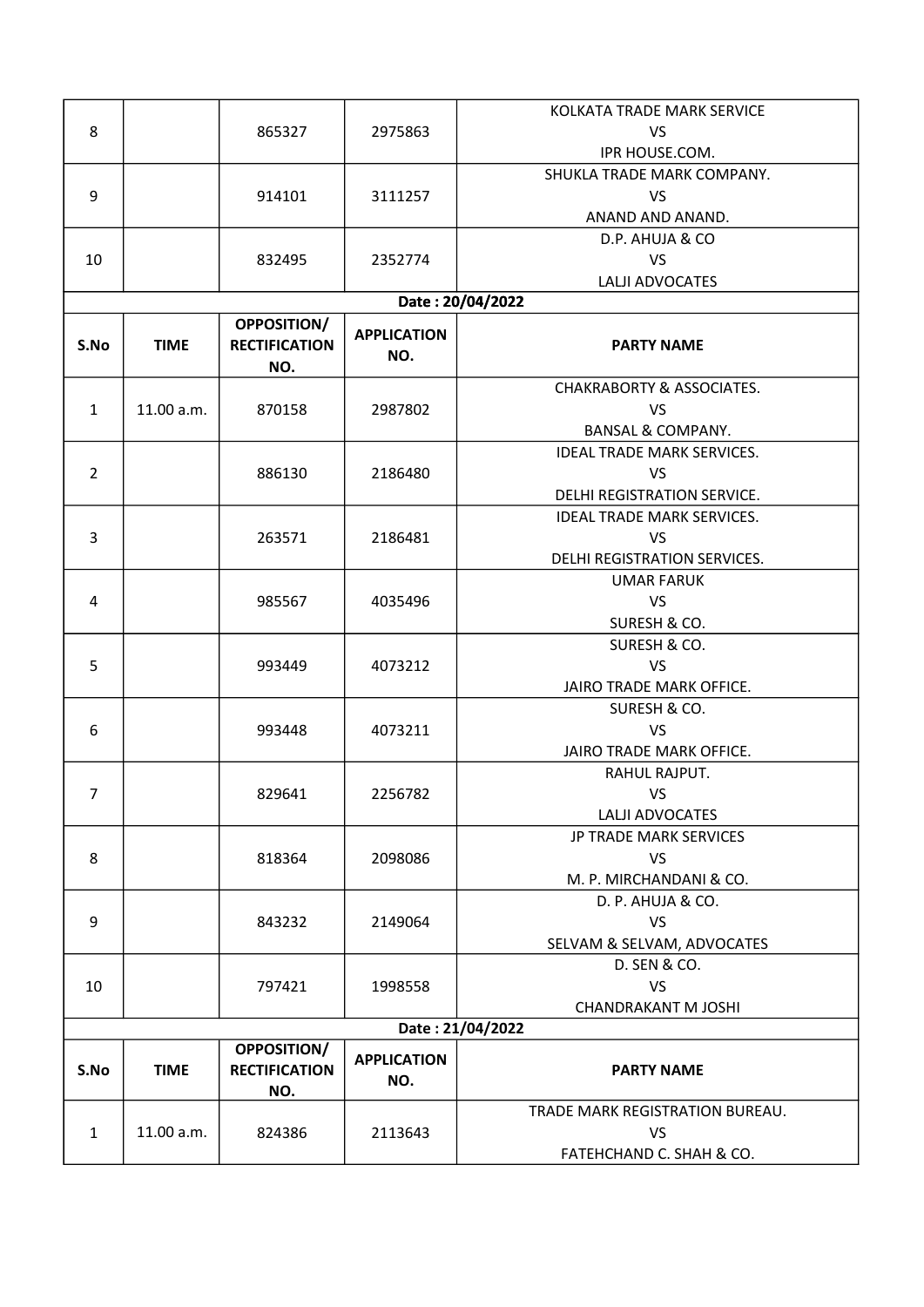|                |             |                      |                    | KOLKATA TRADE MARK SERVICE           |
|----------------|-------------|----------------------|--------------------|--------------------------------------|
| 8              |             | 865327               | 2975863            | <b>VS</b>                            |
|                |             |                      |                    | IPR HOUSE.COM.                       |
|                |             |                      |                    | SHUKLA TRADE MARK COMPANY.           |
| 9              |             | 914101               | 3111257            | VS                                   |
|                |             |                      |                    | ANAND AND ANAND.                     |
|                |             |                      |                    | D.P. AHUJA & CO                      |
| 10             |             | 832495               | 2352774            | <b>VS</b>                            |
|                |             |                      |                    | LALJI ADVOCATES                      |
|                |             |                      |                    | Date: 20/04/2022                     |
|                |             | <b>OPPOSITION/</b>   |                    |                                      |
| S.No           | <b>TIME</b> | <b>RECTIFICATION</b> | <b>APPLICATION</b> | <b>PARTY NAME</b>                    |
|                |             | NO.                  | NO.                |                                      |
|                |             |                      |                    | <b>CHAKRABORTY &amp; ASSOCIATES.</b> |
| $\mathbf{1}$   | 11.00 a.m.  | 870158               | 2987802            | <b>VS</b>                            |
|                |             |                      |                    | <b>BANSAL &amp; COMPANY.</b>         |
|                |             |                      |                    | <b>IDEAL TRADE MARK SERVICES.</b>    |
| $\overline{2}$ |             | 886130               | 2186480            | <b>VS</b>                            |
|                |             |                      |                    |                                      |
|                |             |                      |                    | DELHI REGISTRATION SERVICE.          |
|                |             |                      |                    | <b>IDEAL TRADE MARK SERVICES.</b>    |
| 3              |             | 263571               | 2186481            | <b>VS</b>                            |
|                |             |                      |                    | DELHI REGISTRATION SERVICES.         |
|                |             |                      |                    | <b>UMAR FARUK</b>                    |
| 4              |             | 985567               | 4035496            | <b>VS</b>                            |
|                |             |                      |                    | SURESH & CO.                         |
|                |             |                      |                    | SURESH & CO.                         |
| 5              |             | 993449               | 4073212            | <b>VS</b>                            |
|                |             |                      |                    | JAIRO TRADE MARK OFFICE.             |
|                |             |                      |                    | SURESH & CO.                         |
| 6              |             | 993448               | 4073211            | <b>VS</b>                            |
|                |             |                      |                    | JAIRO TRADE MARK OFFICE.             |
|                |             |                      |                    | RAHUL RAJPUT.                        |
| 7              |             | 829641               | 2256782            | <b>VS</b>                            |
|                |             |                      |                    | LALJI ADVOCATES                      |
|                |             |                      |                    | JP TRADE MARK SERVICES               |
| 8              |             | 818364               | 2098086            | VS                                   |
|                |             |                      |                    | M. P. MIRCHANDANI & CO.              |
|                |             |                      |                    | D. P. AHUJA & CO.                    |
| 9              |             | 843232               | 2149064            | <b>VS</b>                            |
|                |             |                      |                    | SELVAM & SELVAM, ADVOCATES           |
|                |             |                      |                    | D. SEN & CO.                         |
| 10             |             | 797421               | 1998558            | <b>VS</b>                            |
|                |             |                      |                    | <b>CHANDRAKANT M JOSHI</b>           |
|                |             |                      |                    | Date: 21/04/2022                     |
|                |             | <b>OPPOSITION/</b>   | <b>APPLICATION</b> |                                      |
| S.No           | <b>TIME</b> | <b>RECTIFICATION</b> | NO.                | <b>PARTY NAME</b>                    |
|                |             | NO.                  |                    |                                      |
|                |             |                      |                    | TRADE MARK REGISTRATION BUREAU.      |
| $\mathbf{1}$   | 11.00 a.m.  | 824386               | 2113643            | <b>VS</b>                            |
|                |             |                      |                    | FATEHCHAND C. SHAH & CO.             |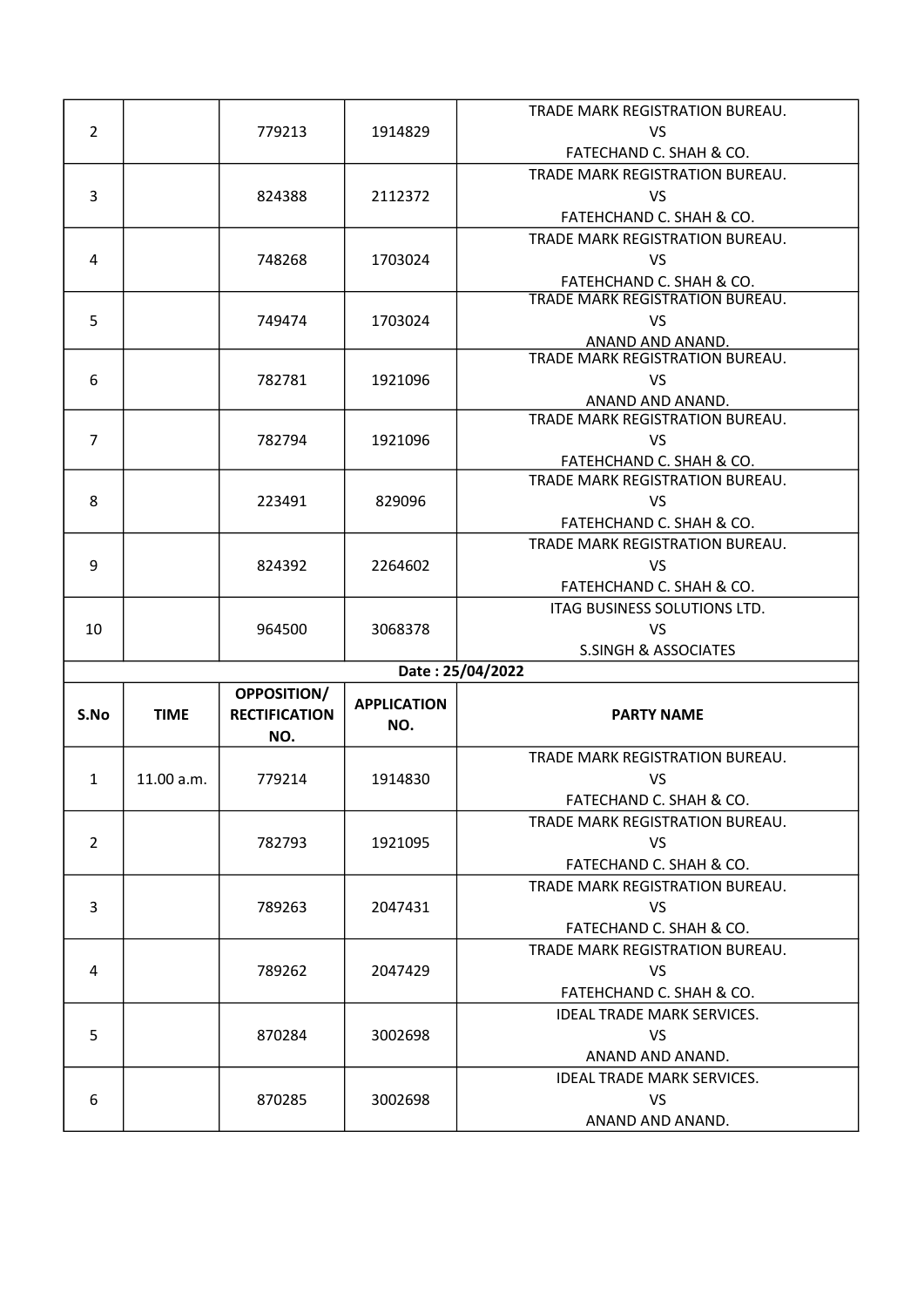|                |             |                      |                          | TRADE MARK REGISTRATION BUREAU.   |
|----------------|-------------|----------------------|--------------------------|-----------------------------------|
| $\overline{2}$ |             | 779213               | 1914829                  | VS                                |
|                |             |                      |                          | FATECHAND C. SHAH & CO.           |
|                |             |                      |                          | TRADE MARK REGISTRATION BUREAU.   |
| 3              |             | 824388               | 2112372                  | <b>VS</b>                         |
|                |             |                      |                          | FATEHCHAND C. SHAH & CO.          |
|                |             |                      |                          | TRADE MARK REGISTRATION BUREAU.   |
| 4              |             | 748268               | 1703024                  | <b>VS</b>                         |
|                |             |                      |                          | FATEHCHAND C. SHAH & CO.          |
|                |             |                      |                          | TRADE MARK REGISTRATION BUREAU.   |
| 5              |             | 749474               | 1703024                  | VS                                |
|                |             |                      |                          | ANAND AND ANAND.                  |
|                |             |                      |                          | TRADE MARK REGISTRATION BUREAU.   |
| 6              |             | 782781               | 1921096                  | <b>VS</b>                         |
|                |             |                      |                          | ANAND AND ANAND.                  |
|                |             |                      |                          | TRADE MARK REGISTRATION BUREAU.   |
| $\overline{7}$ |             | 782794               | 1921096                  | <b>VS</b>                         |
|                |             |                      |                          | FATEHCHAND C. SHAH & CO.          |
|                |             |                      |                          | TRADE MARK REGISTRATION BUREAU.   |
| 8              |             | 223491               | 829096                   | <b>VS</b>                         |
|                |             |                      |                          | FATEHCHAND C. SHAH & CO.          |
|                |             |                      |                          | TRADE MARK REGISTRATION BUREAU.   |
| 9              |             | 824392               | 2264602                  | <b>VS</b>                         |
|                |             |                      | FATEHCHAND C. SHAH & CO. |                                   |
|                |             |                      |                          | ITAG BUSINESS SOLUTIONS LTD.      |
| 10             |             | 964500               | 3068378                  | <b>VS</b>                         |
|                |             |                      |                          | <b>S.SINGH &amp; ASSOCIATES</b>   |
|                |             |                      |                          | Date: 25/04/2022                  |
|                |             | OPPOSITION/          | <b>APPLICATION</b>       |                                   |
| S.No           | <b>TIME</b> | <b>RECTIFICATION</b> | NO.                      | <b>PARTY NAME</b>                 |
|                |             | NO.                  |                          |                                   |
|                |             |                      |                          | TRADE MARK REGISTRATION BUREAU.   |
| $\mathbf{1}$   | 11.00 a.m.  | 779214               | 1914830                  | VS                                |
|                |             |                      |                          | FATECHAND C. SHAH & CO.           |
|                |             |                      |                          | TRADE MARK REGISTRATION BUREAU.   |
| $\overline{2}$ |             | 782793               | 1921095                  | VS.                               |
|                |             |                      |                          | FATECHAND C. SHAH & CO.           |
|                |             |                      |                          | TRADE MARK REGISTRATION BUREAU.   |
| 3              |             | 789263               | 2047431                  | VS                                |
|                |             |                      |                          | FATECHAND C. SHAH & CO.           |
|                |             |                      |                          | TRADE MARK REGISTRATION BUREAU.   |
| 4              |             | 789262               | 2047429                  | VS.                               |
|                |             |                      |                          | FATEHCHAND C. SHAH & CO.          |
|                |             |                      |                          | <b>IDEAL TRADE MARK SERVICES.</b> |
| 5              |             | 870284               | 3002698                  | <b>VS</b>                         |
|                |             |                      |                          | ANAND AND ANAND.                  |
|                |             |                      |                          | <b>IDEAL TRADE MARK SERVICES.</b> |
|                |             |                      |                          |                                   |
| 6              |             | 870285               | 3002698                  | VS                                |